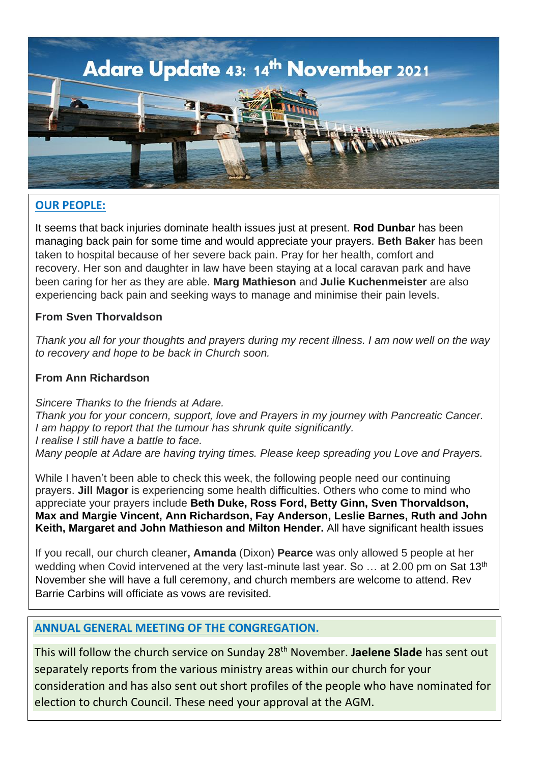

## **OUR PEOPLE:**

It seems that back injuries dominate health issues just at present. **Rod Dunbar** has been managing back pain for some time and would appreciate your prayers. **Beth Baker** has been taken to hospital because of her severe back pain. Pray for her health, comfort and recovery. Her son and daughter in law have been staying at a local caravan park and have been caring for her as they are able. **Marg Mathieson** and **Julie Kuchenmeister** are also experiencing back pain and seeking ways to manage and minimise their pain levels.

### **From Sven Thorvaldson**

*Thank you all for your thoughts and prayers during my recent illness. I am now well on the way to recovery and hope to be back in Church soon.*

### **From Ann Richardson**

*Sincere Thanks to the friends at Adare. Thank you for your concern, support, love and Prayers in my journey with Pancreatic Cancer. I am happy to report that the tumour has shrunk quite significantly. I realise I still have a battle to face. Many people at Adare are having trying times. Please keep spreading you Love and Prayers.*

While I haven't been able to check this week, the following people need our continuing prayers. **Jill Magor** is experiencing some health difficulties. Others who come to mind who appreciate your prayers include **Beth Duke, Ross Ford, Betty Ginn, Sven Thorvaldson, Max and Margie Vincent, Ann Richardson, Fay Anderson, Leslie Barnes, Ruth and John Keith, Margaret and John Mathieson and Milton Hender.** All have significant health issues

If you recall, our church cleaner**, Amanda** (Dixon) **Pearce** was only allowed 5 people at her wedding when Covid intervened at the very last-minute last year. So ... at 2.00 pm on Sat 13<sup>th</sup> November she will have a full ceremony, and church members are welcome to attend. Rev Barrie Carbins will officiate as vows are revisited.

### **ANNUAL GENERAL MEETING OF THE CONGREGATION.**

This will follow the church service on Sunday 28th November. **Jaelene Slade** has sent out separately reports from the various ministry areas within our church for your consideration and has also sent out short profiles of the people who have nominated for election to church Council. These need your approval at the AGM.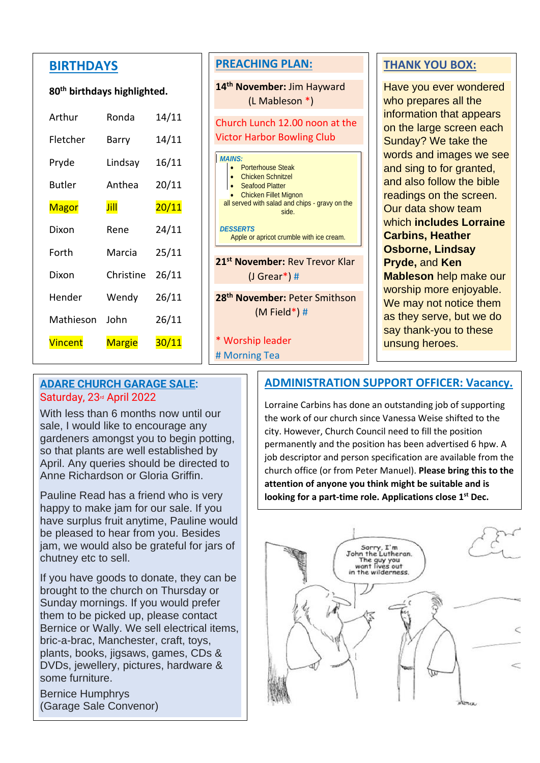## **BIRTHDAYS**

#### **80th birthdays highlighted.**

| Arthur         | Ronda         | 14/11        |
|----------------|---------------|--------------|
| Fletcher       | Barry         | 14/11        |
| Pryde          | Lindsay       | 16/11        |
| Butler         | Anthea        | 20/11        |
| <b>Magor</b>   | Jill          | 20/11        |
| Dixon          | Rene          | 24/11        |
| Forth          | Marcia        | 25/11        |
| Dixon          | Christine     | 26/11        |
| Hender         | Wendy         | 26/11        |
| Mathieson      | John          | 26/11        |
| <b>Vincent</b> | <b>Margie</b> | <u>30/11</u> |

### **PREACHING PLAN:**

**14th November:** Jim Hayward (L Mableson \*)

# Church Lunch 12.00 noon at the Victor Harbor Bowling Club

|                                            | <b>MAINS:</b>                                  |                                                                 |  |  |  |
|--------------------------------------------|------------------------------------------------|-----------------------------------------------------------------|--|--|--|
|                                            |                                                |                                                                 |  |  |  |
|                                            |                                                | • Porterhouse Steak<br>• Chicken Schnitzel<br>• Seafood Platter |  |  |  |
|                                            |                                                |                                                                 |  |  |  |
|                                            |                                                | <b>Chicken Fillet Mignon</b>                                    |  |  |  |
|                                            | all served with salad and chips - gravy on the |                                                                 |  |  |  |
|                                            | side.                                          |                                                                 |  |  |  |
|                                            |                                                |                                                                 |  |  |  |
| <b>DESSERTS</b>                            |                                                |                                                                 |  |  |  |
|                                            | Apple or apricot crumble with ice cream.       |                                                                 |  |  |  |
|                                            |                                                |                                                                 |  |  |  |
|                                            |                                                |                                                                 |  |  |  |
| 21 <sup>st</sup> November: Rev Trevor Klar |                                                |                                                                 |  |  |  |
| (J Grear*) #                               |                                                |                                                                 |  |  |  |

**28th November:** Peter Smithson (M Field\*) #

#### \* Worship leader

# Morning Tea

## **THANK YOU BOX:**

Have you ever wondered who prepares all the information that appears on the large screen each Sunday? We take the words and images we see and sing to for granted, and also follow the bible readings on the screen. Our data show team which **includes Lorraine Carbins, Heather Osborne, Lindsay Pryde,** and **Ken Mableson** help make our worship more enjoyable. We may not notice them as they serve, but we do say thank-you to these unsung heroes.

### **ADARE CHURCH GARAGE SALE:** Saturday, 23<sup>rd</sup> April 2022

With less than 6 months now until our sale, I would like to encourage any gardeners amongst you to begin potting, so that plants are well established by April. Any queries should be directed to Anne Richardson or Gloria Griffin.

Pauline Read has a friend who is very happy to make jam for our sale. If you have surplus fruit anytime, Pauline would be pleased to hear from you. Besides jam, we would also be grateful for jars of chutney etc to sell.

If you have goods to donate, they can be brought to the church on Thursday or Sunday mornings. If you would prefer them to be picked up, please contact Bernice or Wally. We sell electrical items, bric-a-brac, Manchester, craft, toys, plants, books, jigsaws, games, CDs & DVDs, jewellery, pictures, hardware & some furniture.

Bernice Humphrys (Garage Sale Convenor)

# **ADMINISTRATION SUPPORT OFFICER: Vacancy.**

Lorraine Carbins has done an outstanding job of supporting the work of our church since Vanessa Weise shifted to the city. However, Church Council need to fill the position permanently and the position has been advertised 6 hpw. A job descriptor and person specification are available from the church office (or from Peter Manuel). **Please bring this to the attention of anyone you think might be suitable and is looking for a part-time role. Applications close 1st Dec.**